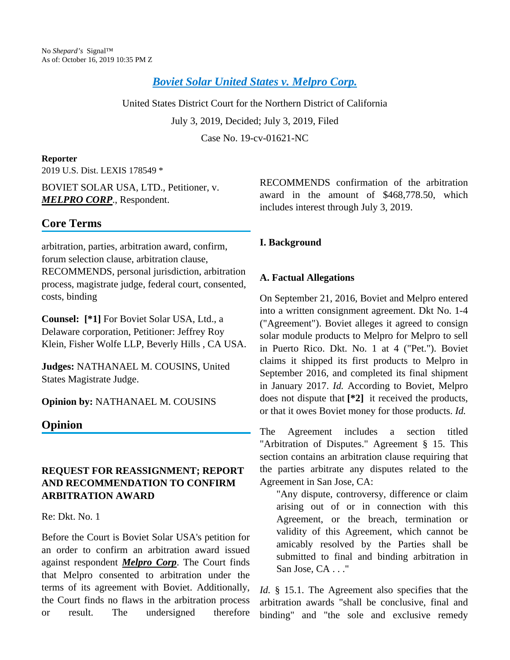*[Boviet Solar United States v. Melpro Corp.](https://advance.lexis.com/api/document?collection=cases&id=urn:contentItem:5X8V-2441-JPP5-21V8-00000-00&context=)*

United States District Court for the Northern District of California

July 3, 2019, Decided; July 3, 2019, Filed

Case No. 19-cv-01621-NC

#### **Reporter**

2019 U.S. Dist. LEXIS 178549 \*

BOVIET SOLAR USA, LTD., Petitioner, v. *MELPRO CORP*., Respondent.

# **Core Terms**

arbitration, parties, arbitration award, confirm, forum selection clause, arbitration clause, RECOMMENDS, personal jurisdiction, arbitration process, magistrate judge, federal court, consented, costs, binding

**Counsel: [\*1]** For Boviet Solar USA, Ltd., a Delaware corporation, Petitioner: Jeffrey Roy Klein, Fisher Wolfe LLP, Beverly Hills , CA USA.

**Judges:** NATHANAEL M. COUSINS, United States Magistrate Judge.

**Opinion by:** NATHANAEL M. COUSINS

# **Opinion**

# **REQUEST FOR REASSIGNMENT; REPORT AND RECOMMENDATION TO CONFIRM ARBITRATION AWARD**

### Re: Dkt. No. 1

Before the Court is Boviet Solar USA's petition for an order to confirm an arbitration award issued against respondent *Melpro Corp*. The Court finds that Melpro consented to arbitration under the terms of its agreement with Boviet. Additionally, the Court finds no flaws in the arbitration process or result. The undersigned therefore

RECOMMENDS confirmation of the arbitration award in the amount of \$468,778.50, which includes interest through July 3, 2019.

# **I. Background**

## **A. Factual Allegations**

On September 21, 2016, Boviet and Melpro entered into a written consignment agreement. Dkt No. 1-4 ("Agreement"). Boviet alleges it agreed to consign solar module products to Melpro for Melpro to sell in Puerto Rico. Dkt. No. 1 at 4 ("Pet."). Boviet claims it shipped its first products to Melpro in September 2016, and completed its final shipment in January 2017. *Id.* According to Boviet, Melpro does not dispute that **[\*2]** it received the products, or that it owes Boviet money for those products. *Id.*

The Agreement includes a section titled "Arbitration of Disputes." Agreement § 15. This section contains an arbitration clause requiring that the parties arbitrate any disputes related to the Agreement in San Jose, CA:

"Any dispute, controversy, difference or claim arising out of or in connection with this Agreement, or the breach, termination or validity of this Agreement, which cannot be amicably resolved by the Parties shall be submitted to final and binding arbitration in San Jose, CA . . ."

*Id.* § 15.1. The Agreement also specifies that the arbitration awards "shall be conclusive, final and binding" and "the sole and exclusive remedy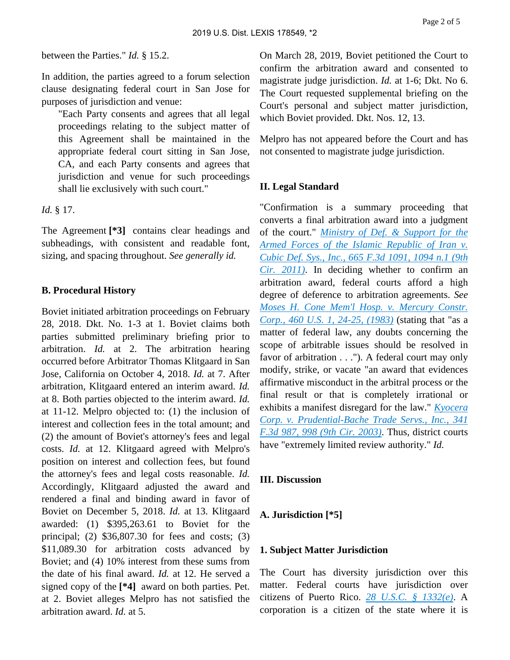between the Parties." *Id.* § 15.2.

In addition, the parties agreed to a forum selection clause designating federal court in San Jose for purposes of jurisdiction and venue:

"Each Party consents and agrees that all legal proceedings relating to the subject matter of this Agreement shall be maintained in the appropriate federal court sitting in San Jose, CA, and each Party consents and agrees that jurisdiction and venue for such proceedings shall lie exclusively with such court."

#### *Id.* § 17.

The Agreement **[\*3]** contains clear headings and subheadings, with consistent and readable font, sizing, and spacing throughout. *See generally id.*

### **B. Procedural History**

Boviet initiated arbitration proceedings on February 28, 2018. Dkt. No. 1-3 at 1. Boviet claims both parties submitted preliminary briefing prior to arbitration. *Id.* at 2. The arbitration hearing occurred before Arbitrator Thomas Klitgaard in San Jose, California on October 4, 2018. *Id.* at 7. After arbitration, Klitgaard entered an interim award. *Id.* at 8. Both parties objected to the interim award. *Id.* at 11-12. Melpro objected to: (1) the inclusion of interest and collection fees in the total amount; and (2) the amount of Boviet's attorney's fees and legal costs. *Id.* at 12. Klitgaard agreed with Melpro's position on interest and collection fees, but found the attorney's fees and legal costs reasonable. *Id.* Accordingly, Klitgaard adjusted the award and rendered a final and binding award in favor of Boviet on December 5, 2018. *Id.* at 13. Klitgaard awarded: (1) \$395,263.61 to Boviet for the principal; (2) \$36,807.30 for fees and costs; (3) \$11,089.30 for arbitration costs advanced by Boviet; and (4) 10% interest from these sums from the date of his final award. *Id.* at 12. He served a signed copy of the **[\*4]** award on both parties. Pet. at 2. Boviet alleges Melpro has not satisfied the arbitration award. *Id.* at 5.

On March 28, 2019, Boviet petitioned the Court to confirm the arbitration award and consented to magistrate judge jurisdiction. *Id.* at 1-6; Dkt. No 6. The Court requested supplemental briefing on the Court's personal and subject matter jurisdiction, which Boviet provided. Dkt. Nos. 12, 13.

Melpro has not appeared before the Court and has not consented to magistrate judge jurisdiction.

### **II. Legal Standard**

"Confirmation is a summary proceeding that converts a final arbitration award into a judgment of the court." *[Ministry of Def. & Support for the](https://advance.lexis.com/api/document?collection=cases&id=urn:contentItem:54GK-R6T1-F04K-V0KJ-00000-00&context=)  [Armed Forces of the Islamic Republic of Iran v.](https://advance.lexis.com/api/document?collection=cases&id=urn:contentItem:54GK-R6T1-F04K-V0KJ-00000-00&context=)  [Cubic Def. Sys., Inc., 665 F.3d 1091, 1094 n.1 \(9th](https://advance.lexis.com/api/document?collection=cases&id=urn:contentItem:54GK-R6T1-F04K-V0KJ-00000-00&context=)  [Cir. 2011\)](https://advance.lexis.com/api/document?collection=cases&id=urn:contentItem:54GK-R6T1-F04K-V0KJ-00000-00&context=)*. In deciding whether to confirm an arbitration award, federal courts afford a high degree of deference to arbitration agreements. *See [Moses H. Cone Mem'l Hosp. v. Mercury Constr.](https://advance.lexis.com/api/document?collection=cases&id=urn:contentItem:3S4X-54V0-003B-S0RY-00000-00&context=)  [Corp., 460 U.S. 1, 24-25, \(1983\)](https://advance.lexis.com/api/document?collection=cases&id=urn:contentItem:3S4X-54V0-003B-S0RY-00000-00&context=)* (stating that "as a matter of federal law, any doubts concerning the scope of arbitrable issues should be resolved in favor of arbitration . . ."). A federal court may only modify, strike, or vacate "an award that evidences affirmative misconduct in the arbitral process or the final result or that is completely irrational or exhibits a manifest disregard for the law." *[Kyocera](https://advance.lexis.com/api/document?collection=cases&id=urn:contentItem:49DG-WV80-0038-X0VS-00000-00&context=)  [Corp. v. Prudential-Bache Trade Servs., Inc., 341](https://advance.lexis.com/api/document?collection=cases&id=urn:contentItem:49DG-WV80-0038-X0VS-00000-00&context=)  [F.3d 987, 998 \(9th Cir. 2003\)](https://advance.lexis.com/api/document?collection=cases&id=urn:contentItem:49DG-WV80-0038-X0VS-00000-00&context=)*. Thus, district courts have "extremely limited review authority." *Id.*

### **III. Discussion**

#### **A. Jurisdiction [\*5]**

#### **1. Subject Matter Jurisdiction**

The Court has diversity jurisdiction over this matter. Federal courts have jurisdiction over citizens of Puerto Rico. *[28 U.S.C. § 1332\(e\)](https://advance.lexis.com/api/document?collection=statutes-legislation&id=urn:contentItem:8SG9-5HW2-D6RV-H0G4-00000-00&context=)*. A corporation is a citizen of the state where it is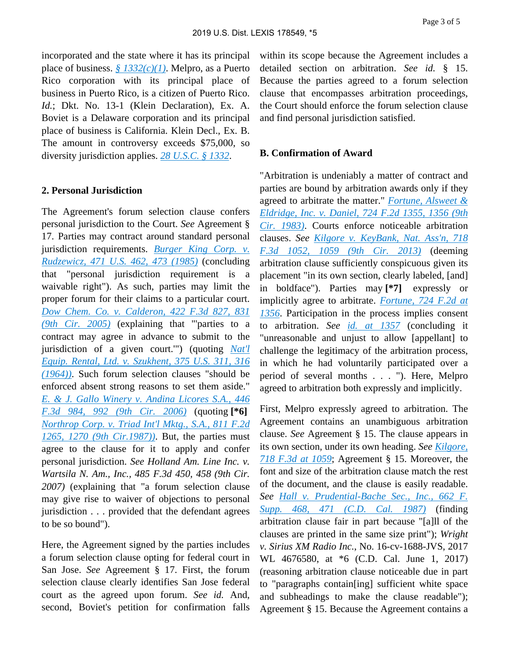incorporated and the state where it has its principal place of business. *[§ 1332\(c\)\(1\)](https://advance.lexis.com/api/document?collection=statutes-legislation&id=urn:contentItem:8SG9-5HW2-D6RV-H0G4-00000-00&context=)*. Melpro, as a Puerto Rico corporation with its principal place of business in Puerto Rico, is a citizen of Puerto Rico. *Id.*; Dkt. No. 13-1 (Klein Declaration), Ex. A. Boviet is a Delaware corporation and its principal place of business is California. Klein Decl., Ex. B. The amount in controversy exceeds \$75,000, so diversity jurisdiction applies. *[28 U.S.C. § 1332](https://advance.lexis.com/api/document?collection=statutes-legislation&id=urn:contentItem:8SG9-5HW2-D6RV-H0G4-00000-00&context=)*.

#### **2. Personal Jurisdiction**

The Agreement's forum selection clause confers personal jurisdiction to the Court. *See* Agreement § 17. Parties may contract around standard personal jurisdiction requirements. *[Burger King Corp. v.](https://advance.lexis.com/api/document?collection=cases&id=urn:contentItem:3S4X-BM70-0039-N006-00000-00&context=)  [Rudzewicz, 471 U.S. 462, 473 \(1985\)](https://advance.lexis.com/api/document?collection=cases&id=urn:contentItem:3S4X-BM70-0039-N006-00000-00&context=)* (concluding that "personal jurisdiction requirement is a waivable right"). As such, parties may limit the proper forum for their claims to a particular court. *[Dow Chem. Co. v. Calderon, 422 F.3d 827, 831](https://advance.lexis.com/api/document?collection=cases&id=urn:contentItem:4GYH-NGW0-0038-X33B-00000-00&context=)  [\(9th Cir. 2005\)](https://advance.lexis.com/api/document?collection=cases&id=urn:contentItem:4GYH-NGW0-0038-X33B-00000-00&context=)* (explaining that "'parties to a contract may agree in advance to submit to the jurisdiction of a given court.'") (quoting *[Nat'l](https://advance.lexis.com/api/document?collection=cases&id=urn:contentItem:3S4X-GXB0-003B-S08M-00000-00&context=)  [Equip. Rental, Ltd. v. Szukhent, 375 U.S. 311, 316](https://advance.lexis.com/api/document?collection=cases&id=urn:contentItem:3S4X-GXB0-003B-S08M-00000-00&context=)  [\(1964\)\)](https://advance.lexis.com/api/document?collection=cases&id=urn:contentItem:3S4X-GXB0-003B-S08M-00000-00&context=)*. Such forum selection clauses "should be enforced absent strong reasons to set them aside." *[E. & J. Gallo Winery v. Andina Licores S.A., 446](https://advance.lexis.com/api/document?collection=cases&id=urn:contentItem:4JVM-CTN0-0038-X015-00000-00&context=)  [F.3d 984, 992 \(9th Cir. 2006\)](https://advance.lexis.com/api/document?collection=cases&id=urn:contentItem:4JVM-CTN0-0038-X015-00000-00&context=)* (quoting **[\*6]**  *[Northrop Corp. v. Triad Int'l Mktg., S.A., 811 F.2d](https://advance.lexis.com/api/document?collection=cases&id=urn:contentItem:3S4X-C6X0-001B-K4T2-00000-00&context=)  [1265, 1270 \(9th Cir.1987\)\)](https://advance.lexis.com/api/document?collection=cases&id=urn:contentItem:3S4X-C6X0-001B-K4T2-00000-00&context=)*. But, the parties must agree to the clause for it to apply and confer personal jurisdiction. *See Holland Am. Line Inc. v. Wartsila N. Am., Inc., 485 F.3d 450, 458 (9th Cir. 2007)* (explaining that "a forum selection clause may give rise to waiver of objections to personal jurisdiction . . . provided that the defendant agrees to be so bound").

Here, the Agreement signed by the parties includes a forum selection clause opting for federal court in San Jose. *See* Agreement § 17. First, the forum selection clause clearly identifies San Jose federal court as the agreed upon forum. *See id.* And, second, Boviet's petition for confirmation falls

within its scope because the Agreement includes a detailed section on arbitration. *See id.* § 15. Because the parties agreed to a forum selection clause that encompasses arbitration proceedings, the Court should enforce the forum selection clause and find personal jurisdiction satisfied.

#### **B. Confirmation of Award**

"Arbitration is undeniably a matter of contract and parties are bound by arbitration awards only if they agreed to arbitrate the matter." *[Fortune, Alsweet &](https://advance.lexis.com/api/document?collection=cases&id=urn:contentItem:3S4W-XXB0-003B-G0MX-00000-00&context=)  [Eldridge, Inc. v. Daniel, 724 F.2d 1355, 1356 \(9th](https://advance.lexis.com/api/document?collection=cases&id=urn:contentItem:3S4W-XXB0-003B-G0MX-00000-00&context=)  [Cir. 1983\)](https://advance.lexis.com/api/document?collection=cases&id=urn:contentItem:3S4W-XXB0-003B-G0MX-00000-00&context=)*. Courts enforce noticeable arbitration clauses. *See [Kilgore v. KeyBank, Nat. Ass'n, 718](https://advance.lexis.com/api/document?collection=cases&id=urn:contentItem:585K-G9J1-F04K-V32B-00000-00&context=)  [F.3d 1052, 1059 \(9th Cir. 2013\)](https://advance.lexis.com/api/document?collection=cases&id=urn:contentItem:585K-G9J1-F04K-V32B-00000-00&context=)* (deeming arbitration clause sufficiently conspicuous given its placement "in its own section, clearly labeled, [and] in boldface"). Parties may **[\*7]** expressly or implicitly agree to arbitrate. *[Fortune, 724 F.2d at](https://advance.lexis.com/api/document?collection=cases&id=urn:contentItem:3S4W-XXB0-003B-G0MX-00000-00&context=)  [1356](https://advance.lexis.com/api/document?collection=cases&id=urn:contentItem:3S4W-XXB0-003B-G0MX-00000-00&context=)*. Participation in the process implies consent to arbitration. *See [id. at 1357](https://advance.lexis.com/api/document?collection=cases&id=urn:contentItem:3S4W-XXB0-003B-G0MX-00000-00&context=)* (concluding it "unreasonable and unjust to allow [appellant] to challenge the legitimacy of the arbitration process, in which he had voluntarily participated over a period of several months . . . "). Here, Melpro agreed to arbitration both expressly and implicitly.

First, Melpro expressly agreed to arbitration. The Agreement contains an unambiguous arbitration clause. *See* Agreement § 15. The clause appears in its own section, under its own heading. *See [Kilgore,](https://advance.lexis.com/api/document?collection=cases&id=urn:contentItem:585K-G9J1-F04K-V32B-00000-00&context=)  [718 F.3d at 1059](https://advance.lexis.com/api/document?collection=cases&id=urn:contentItem:585K-G9J1-F04K-V32B-00000-00&context=)*; Agreement § 15. Moreover, the font and size of the arbitration clause match the rest of the document, and the clause is easily readable. *See [Hall v. Prudential-Bache Sec., Inc., 662 F.](https://advance.lexis.com/api/document?collection=cases&id=urn:contentItem:3S4N-CWH0-003B-6567-00000-00&context=)  [Supp. 468, 471 \(C.D. Cal. 1987\)](https://advance.lexis.com/api/document?collection=cases&id=urn:contentItem:3S4N-CWH0-003B-6567-00000-00&context=)* (finding arbitration clause fair in part because "[a]ll of the clauses are printed in the same size print"); *Wright v. Sirius XM Radio Inc.*, No. 16-cv-1688-JVS, 2017 WL 4676580, at \*6 (C.D. Cal. June 1, 2017) (reasoning arbitration clause noticeable due in part to "paragraphs contain[ing] sufficient white space and subheadings to make the clause readable"); Agreement § 15. Because the Agreement contains a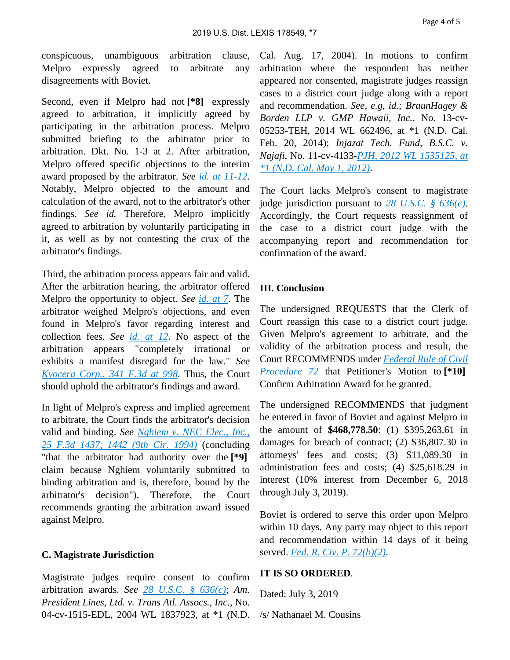conspicuous, unambiguous arbitration clause, Melpro expressly agreed to arbitrate any disagreements with Boviet.

Second, even if Melpro had not **[\*8]** expressly agreed to arbitration, it implicitly agreed by participating in the arbitration process. Melpro submitted briefing to the arbitrator prior to arbitration. Dkt. No. 1-3 at 2. After arbitration, Melpro offered specific objections to the interim award proposed by the arbitrator. *See [id. at 11-12](https://advance.lexis.com/api/document?collection=cases&id=urn:contentItem:3S4X-54V0-003B-S0RY-00000-00&context=)*. Notably, Melpro objected to the amount and calculation of the award, not to the arbitrator's other findings. *See id.* Therefore, Melpro implicitly agreed to arbitration by voluntarily participating in it, as well as by not contesting the crux of the arbitrator's findings.

Third, the arbitration process appears fair and valid. After the arbitration hearing, the arbitrator offered Melpro the opportunity to object. *See [id. at 7](https://advance.lexis.com/api/document?collection=cases&id=urn:contentItem:3S4X-54V0-003B-S0RY-00000-00&context=)*. The arbitrator weighed Melpro's objections, and even found in Melpro's favor regarding interest and collection fees. *See [id. at 12](https://advance.lexis.com/api/document?collection=cases&id=urn:contentItem:3S4X-54V0-003B-S0RY-00000-00&context=)*. No aspect of the arbitration appears "completely irrational or exhibits a manifest disregard for the law." *See [Kyocera Corp., 341 F.3d at 998](https://advance.lexis.com/api/document?collection=cases&id=urn:contentItem:49DG-WV80-0038-X0VS-00000-00&context=)*. Thus, the Court should uphold the arbitrator's findings and award.

In light of Melpro's express and implied agreement to arbitrate, the Court finds the arbitrator's decision valid and binding. *See [Nghiem v. NEC Elec., Inc.,](https://advance.lexis.com/api/document?collection=cases&id=urn:contentItem:3S4X-5K60-003B-P1P4-00000-00&context=)  [25 F.3d 1437, 1442 \(9th Cir. 1994\)](https://advance.lexis.com/api/document?collection=cases&id=urn:contentItem:3S4X-5K60-003B-P1P4-00000-00&context=)* (concluding "that the arbitrator had authority over the **[\*9]**  claim because Nghiem voluntarily submitted to binding arbitration and is, therefore, bound by the arbitrator's decision"). Therefore, the Court recommends granting the arbitration award issued against Melpro.

### **C. Magistrate Jurisdiction**

Magistrate judges require consent to confirm arbitration awards. *See [28 U.S.C. § 636\(c\)](https://advance.lexis.com/api/document?collection=statutes-legislation&id=urn:contentItem:8SG9-5HW2-D6RV-H0BK-00000-00&context=)*; *Am. President Lines, Ltd. v. Trans Atl. Assocs., Inc.*, No. 04-cv-1515-EDL, 2004 WL 1837923, at \*1 (N.D. Cal. Aug. 17, 2004). In motions to confirm arbitration where the respondent has neither appeared nor consented, magistrate judges reassign cases to a district court judge along with a report and recommendation. *See, e.g, id.; BraunHagey & Borden LLP v. GMP Hawaii, Inc.*, No. 13-cv-05253-TEH, 2014 WL 662496, at \*1 (N.D. Cal. Feb. 20, 2014); *Injazat Tech. Fund, B.S.C. v. Najafi*, No. 11-cv-4133-*[PJH, 2012 WL 1535125, at](https://advance.lexis.com/api/document?collection=cases&id=urn:contentItem:55J5-MC91-F04C-T0W9-00000-00&context=)  [\\*1 \(N.D. Cal. May 1, 2012\)](https://advance.lexis.com/api/document?collection=cases&id=urn:contentItem:55J5-MC91-F04C-T0W9-00000-00&context=)*.

The Court lacks Melpro's consent to magistrate judge jurisdiction pursuant to *[28 U.S.C. § 636\(c\)](https://advance.lexis.com/api/document?collection=statutes-legislation&id=urn:contentItem:8SG9-5HW2-D6RV-H0BK-00000-00&context=)*. Accordingly, the Court requests reassignment of the case to a district court judge with the accompanying report and recommendation for confirmation of the award.

#### **III. Conclusion**

The undersigned REQUESTS that the Clerk of Court reassign this case to a district court judge. Given Melpro's agreement to arbitrate, and the validity of the arbitration process and result, the Court RECOMMENDS under *[Federal Rule of Civil](https://advance.lexis.com/api/document?collection=statutes-legislation&id=urn:contentItem:5GYC-25Y1-FG36-104X-00000-00&context=)  [Procedure 72](https://advance.lexis.com/api/document?collection=statutes-legislation&id=urn:contentItem:5GYC-25Y1-FG36-104X-00000-00&context=)* that Petitioner's Motion to **[\*10]**  Confirm Arbitration Award for be granted.

The undersigned RECOMMENDS that judgment be entered in favor of Boviet and against Melpro in the amount of **\$468,778.50**: (1) \$395,263.61 in damages for breach of contract; (2) \$36,807.30 in attorneys' fees and costs; (3) \$11,089.30 in administration fees and costs; (4) \$25,618.29 in interest (10% interest from December 6, 2018 through July 3, 2019).

Boviet is ordered to serve this order upon Melpro within 10 days. Any party may object to this report and recommendation within 14 days of it being served. *[Fed. R. Civ. P. 72\(b\)\(2\)](https://advance.lexis.com/api/document?collection=statutes-legislation&id=urn:contentItem:5GYC-25Y1-FG36-104X-00000-00&context=)*.

#### **IT IS SO ORDERED**.

Dated: July 3, 2019

/s/ Nathanael M. Cousins